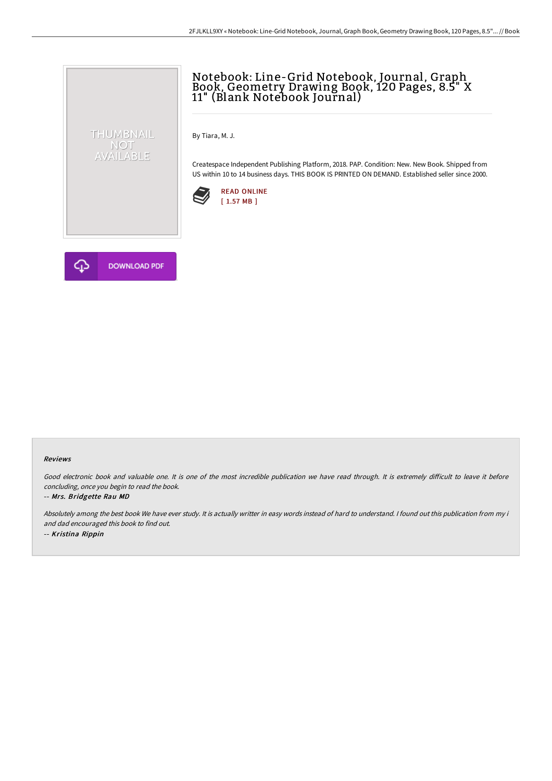# Notebook: Line-Grid Notebook, Journal, Graph Book, Geometry Drawing Book, 120 Pages, 8.5" X 11" (Blank Notebook Journal)

By Tiara, M. J.

Createspace Independent Publishing Platform, 2018. PAP. Condition: New. New Book. Shipped from US within 10 to 14 business days. THIS BOOK IS PRINTED ON DEMAND. Established seller since 2000.





THUMBNAIL NOT<br>AVAILABLE

#### Reviews

Good electronic book and valuable one. It is one of the most incredible publication we have read through. It is extremely difficult to leave it before concluding, once you begin to read the book.

#### -- Mrs. Bridgette Rau MD

Absolutely among the best book We have ever study. It is actually writter in easy words instead of hard to understand. <sup>I</sup> found out this publication from my i and dad encouraged this book to find out. -- Kristina Rippin